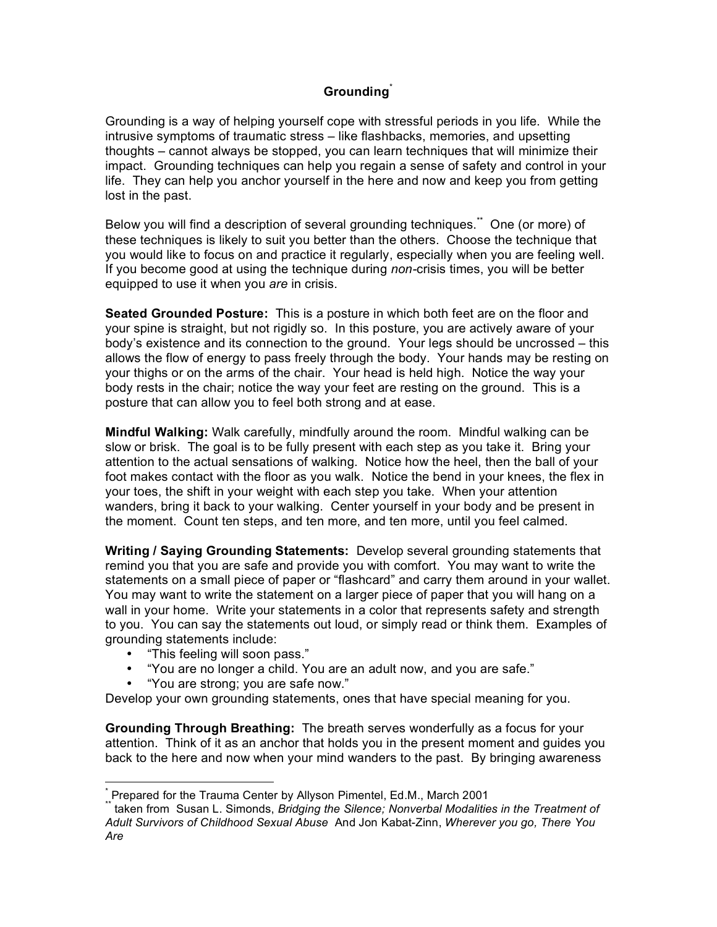## **Grounding**\*

Grounding is a way of helping yourself cope with stressful periods in you life. While the intrusive symptoms of traumatic stress – like flashbacks, memories, and upsetting thoughts – cannot always be stopped, you can learn techniques that will minimize their impact. Grounding techniques can help you regain a sense of safety and control in your life. They can help you anchor yourself in the here and now and keep you from getting lost in the past.

Below you will find a description of several grounding techniques. \*\* One (or more) of these techniques is likely to suit you better than the others. Choose the technique that you would like to focus on and practice it regularly, especially when you are feeling well. If you become good at using the technique during *non-*crisis times, you will be better equipped to use it when you *are* in crisis.

**Seated Grounded Posture:** This is a posture in which both feet are on the floor and your spine is straight, but not rigidly so. In this posture, you are actively aware of your body's existence and its connection to the ground. Your legs should be uncrossed – this allows the flow of energy to pass freely through the body. Your hands may be resting on your thighs or on the arms of the chair. Your head is held high. Notice the way your body rests in the chair; notice the way your feet are resting on the ground. This is a posture that can allow you to feel both strong and at ease.

**Mindful Walking:** Walk carefully, mindfully around the room. Mindful walking can be slow or brisk. The goal is to be fully present with each step as you take it. Bring your attention to the actual sensations of walking. Notice how the heel, then the ball of your foot makes contact with the floor as you walk. Notice the bend in your knees, the flex in your toes, the shift in your weight with each step you take. When your attention wanders, bring it back to your walking. Center yourself in your body and be present in the moment. Count ten steps, and ten more, and ten more, until you feel calmed.

**Writing / Saying Grounding Statements:** Develop several grounding statements that remind you that you are safe and provide you with comfort. You may want to write the statements on a small piece of paper or "flashcard" and carry them around in your wallet. You may want to write the statement on a larger piece of paper that you will hang on a wall in your home. Write your statements in a color that represents safety and strength to you. You can say the statements out loud, or simply read or think them. Examples of grounding statements include:

- "This feeling will soon pass."
- "You are no longer a child. You are an adult now, and you are safe."
- "You are strong; you are safe now."

Develop your own grounding statements, ones that have special meaning for you.

**Grounding Through Breathing:** The breath serves wonderfully as a focus for your attention. Think of it as an anchor that holds you in the present moment and guides you back to the here and now when your mind wanders to the past. By bringing awareness

Terepared for the Trauma Center by Allyson Pimentel, Ed.M., March 2001<br>Taken from Susan L. Simonds, *Bridging the Silence; Nonverbal Modalities in the Treatment of Adult Survivors of Childhood Sexual Abuse* And Jon Kabat-Zinn, *Wherever you go, There You Are*